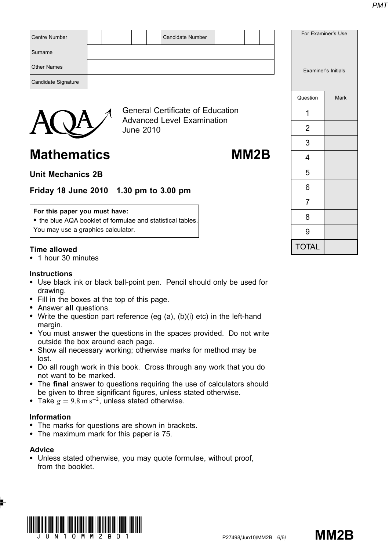| Centre Number       |  |  | <b>Candidate Number</b>                 |  |  |          | For Examiner's Use  |
|---------------------|--|--|-----------------------------------------|--|--|----------|---------------------|
| Surname             |  |  |                                         |  |  |          |                     |
| <b>Other Names</b>  |  |  |                                         |  |  |          | Examiner's Initials |
| Candidate Signature |  |  |                                         |  |  |          |                     |
|                     |  |  |                                         |  |  | Question | <b>Mark</b>         |
|                     |  |  | <b>General Certificate of Education</b> |  |  |          |                     |



Advanced Level Examination June 2010

# Mathematics MM2B

# Unit Mechanics 2B

# Friday 18 June 2010 1.30 pm to 3.00 pm

#### For this paper you must have:

• the blue AQA booklet of formulae and statistical tables. You may use a graphics calculator.

### Time allowed

\* 1 hour 30 minutes

#### **Instructions**

- Use black ink or black ball-point pen. Pencil should only be used for drawing.
- Fill in the boxes at the top of this page.
- Answer all questions.
- Write the question part reference (eg  $(a)$ ,  $(b)(i)$  etc) in the left-hand margin.
- \* You must answer the questions in the spaces provided. Do not write outside the box around each page.
- \* Show all necessary working; otherwise marks for method may be lost.
- Do all rough work in this book. Cross through any work that you do not want to be marked.
- The final answer to questions requiring the use of calculators should be given to three significant figures, unless stated otherwise.
- Take  $g = 9.8 \text{ m s}^{-2}$ , unless stated otherwise.

#### Information

- The marks for questions are shown in brackets.
- The maximum mark for this paper is 75.

### Advice

• Unless stated otherwise, you may quote formulae, without proof, from the booklet.







|                | Examiner's Initials |
|----------------|---------------------|
| Question       | <b>Mark</b>         |
| 1              |                     |
| $\overline{c}$ |                     |
| 3              |                     |
| 4              |                     |
| 5              |                     |
| 6              |                     |
| 7              |                     |
| 8              |                     |
| 9              |                     |
| <b>TOTAL</b>   |                     |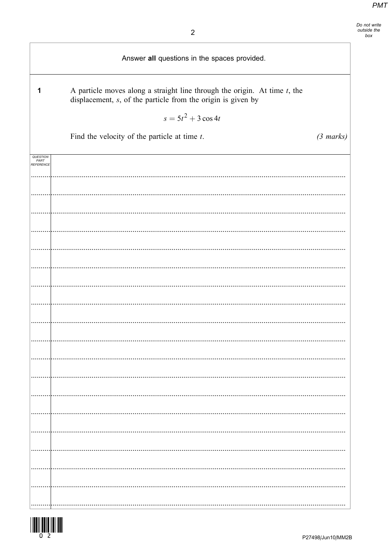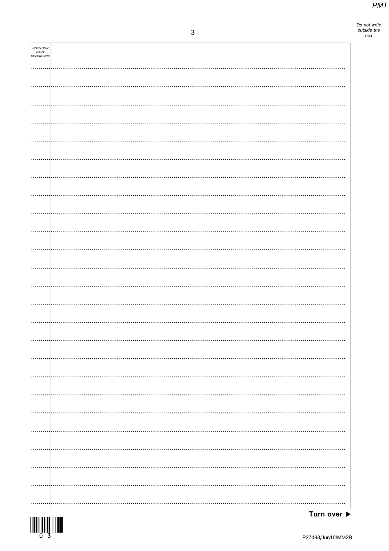Do not write<br>outside the<br>box

| QUESTION<br>PART<br>REFERENCE |   |
|-------------------------------|---|
|                               |   |
|                               |   |
|                               |   |
|                               |   |
|                               |   |
|                               |   |
|                               |   |
|                               |   |
|                               |   |
|                               |   |
|                               |   |
|                               |   |
|                               |   |
|                               |   |
|                               |   |
|                               |   |
|                               | . |
|                               |   |
|                               |   |
|                               |   |
|                               |   |
|                               |   |
|                               |   |
|                               |   |
|                               |   |

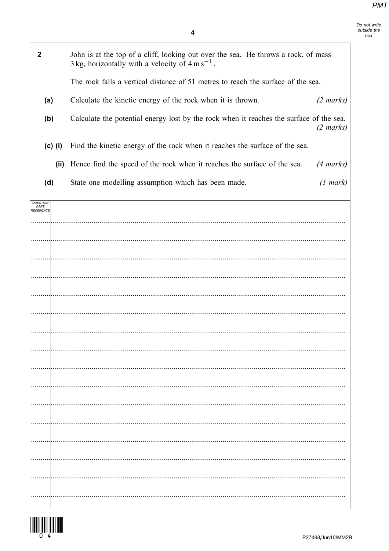Do not write<br>outside the<br>box

٦

| $\mathbf 2$                   | John is at the top of a cliff, looking out over the sea. He throws a rock, of mass<br>3 kg, horizontally with a velocity of $4 \text{ m s}^{-1}$ . |
|-------------------------------|----------------------------------------------------------------------------------------------------------------------------------------------------|
|                               | The rock falls a vertical distance of 51 metres to reach the surface of the sea.                                                                   |
| (a)                           | Calculate the kinetic energy of the rock when it is thrown.<br>$(2 \text{ marks})$                                                                 |
| (b)                           | Calculate the potential energy lost by the rock when it reaches the surface of the sea.<br>$(2 \text{ marks})$                                     |
| $(c)$ (i)                     | Find the kinetic energy of the rock when it reaches the surface of the sea.                                                                        |
| (ii)                          | Hence find the speed of the rock when it reaches the surface of the sea.<br>$(4 \text{ marks})$                                                    |
| (d)                           | State one modelling assumption which has been made.<br>(1 mark)                                                                                    |
| QUESTION<br>PART<br>REFERENCE |                                                                                                                                                    |
|                               |                                                                                                                                                    |
|                               |                                                                                                                                                    |
|                               |                                                                                                                                                    |
|                               |                                                                                                                                                    |
|                               |                                                                                                                                                    |
|                               |                                                                                                                                                    |
|                               |                                                                                                                                                    |
|                               |                                                                                                                                                    |
|                               |                                                                                                                                                    |
|                               |                                                                                                                                                    |
|                               |                                                                                                                                                    |
|                               |                                                                                                                                                    |
|                               |                                                                                                                                                    |
|                               |                                                                                                                                                    |
|                               |                                                                                                                                                    |
|                               |                                                                                                                                                    |



 $\mathsf{I}$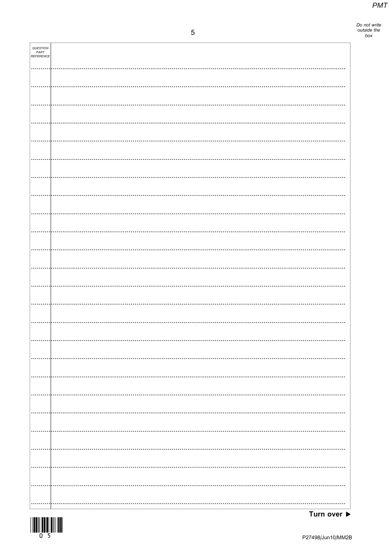Do not write<br>outside the<br>box

| QUESTION<br>PART<br>REFERENCE |          |
|-------------------------------|----------|
|                               |          |
|                               |          |
|                               |          |
|                               |          |
|                               |          |
|                               |          |
|                               |          |
|                               |          |
|                               |          |
|                               |          |
|                               |          |
|                               |          |
|                               |          |
|                               |          |
|                               |          |
|                               |          |
|                               |          |
|                               |          |
|                               |          |
|                               |          |
|                               |          |
|                               |          |
|                               |          |
|                               |          |
|                               |          |
|                               |          |
|                               |          |
|                               |          |
|                               |          |
|                               |          |
|                               |          |
|                               |          |
|                               | $\cdots$ |
|                               |          |
|                               |          |
|                               |          |
|                               |          |
|                               |          |
|                               |          |
|                               |          |
|                               |          |
|                               |          |
|                               |          |
|                               |          |
|                               |          |
|                               |          |
|                               |          |
|                               |          |
|                               |          |

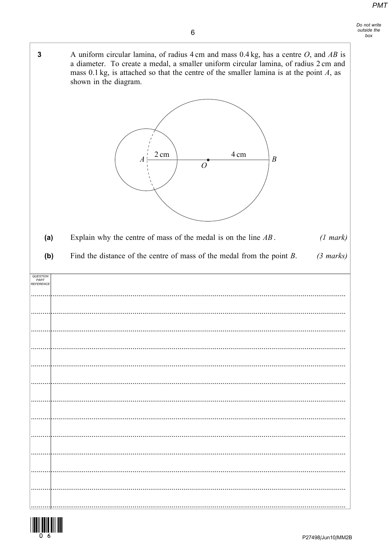A uniform circular lamina, of radius 4 cm and mass  $0.4$  kg, has a centre O, and AB is  $\overline{3}$ a diameter. To create a medal, a smaller uniform circular lamina, of radius 2 cm and mass 0.1 kg, is attached so that the centre of the smaller lamina is at the point  $A$ , as shown in the diagram.



Explain why the centre of mass of the medal is on the line  $AB$ .  $(a)$  $(1 mark)$ 

 $(b)$ Find the distance of the centre of mass of the medal from the point  $B$ .  $(3 \text{ marks})$ 

| QUESTION<br>PART<br>REFERENCE |  |
|-------------------------------|--|
|                               |  |
|                               |  |
|                               |  |
|                               |  |
|                               |  |
|                               |  |
|                               |  |
|                               |  |
|                               |  |
|                               |  |
|                               |  |
|                               |  |

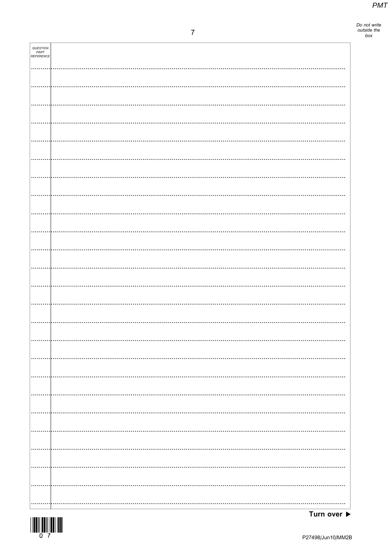Do not write<br>outside the<br>box

| QUESTION<br>PART<br>REFERENCE |          |
|-------------------------------|----------|
|                               |          |
|                               |          |
|                               |          |
|                               |          |
|                               |          |
|                               |          |
|                               |          |
|                               |          |
|                               |          |
|                               |          |
|                               |          |
|                               |          |
|                               |          |
|                               |          |
|                               |          |
|                               |          |
|                               |          |
|                               |          |
|                               |          |
|                               |          |
|                               |          |
|                               | $\cdots$ |
|                               |          |
|                               |          |
|                               |          |
|                               |          |
|                               |          |



Turn over  $\blacktriangleright$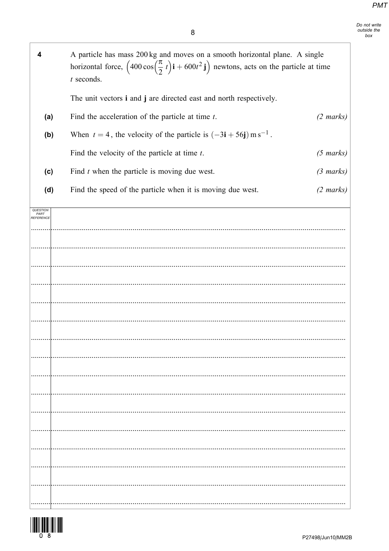| 4                                           | A particle has mass 200 kg and moves on a smooth horizontal plane. A single<br>horizontal force, $\left(400 \cos\left(\frac{\pi}{2} t\right) \mathbf{i} + 600 t^2 \mathbf{j}\right)$ newtons, acts on the particle at time<br>$t$ seconds. |                     |
|---------------------------------------------|--------------------------------------------------------------------------------------------------------------------------------------------------------------------------------------------------------------------------------------------|---------------------|
|                                             | The unit vectors i and j are directed east and north respectively.                                                                                                                                                                         |                     |
| (a)                                         | Find the acceleration of the particle at time $t$ .                                                                                                                                                                                        | $(2 \text{ marks})$ |
| (b)                                         | When $t = 4$ , the velocity of the particle is $(-3i + 56j)$ m s <sup>-1</sup> .                                                                                                                                                           |                     |
|                                             | Find the velocity of the particle at time $t$ .                                                                                                                                                                                            | $(5 \text{ marks})$ |
| (c)                                         | Find $t$ when the particle is moving due west.                                                                                                                                                                                             | $(3 \text{ marks})$ |
| (d)                                         | Find the speed of the particle when it is moving due west.                                                                                                                                                                                 | $(2 \text{ marks})$ |
| <i><b>QUESTION</b></i><br>PART<br>REFERENCE |                                                                                                                                                                                                                                            |                     |
|                                             |                                                                                                                                                                                                                                            |                     |
|                                             |                                                                                                                                                                                                                                            |                     |
|                                             |                                                                                                                                                                                                                                            |                     |
|                                             |                                                                                                                                                                                                                                            |                     |
|                                             |                                                                                                                                                                                                                                            |                     |
|                                             |                                                                                                                                                                                                                                            |                     |
|                                             |                                                                                                                                                                                                                                            |                     |
|                                             |                                                                                                                                                                                                                                            |                     |
|                                             |                                                                                                                                                                                                                                            |                     |
|                                             |                                                                                                                                                                                                                                            |                     |
|                                             |                                                                                                                                                                                                                                            |                     |
|                                             |                                                                                                                                                                                                                                            |                     |
|                                             |                                                                                                                                                                                                                                            |                     |
|                                             |                                                                                                                                                                                                                                            |                     |
|                                             |                                                                                                                                                                                                                                            |                     |
|                                             |                                                                                                                                                                                                                                            |                     |

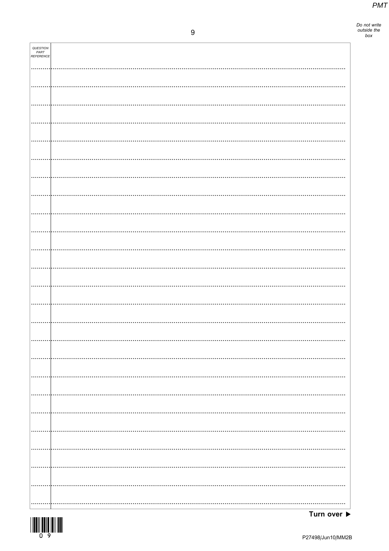Do not write<br>outside the<br>box

| QUESTION<br>PART<br>REFERENCE |          |
|-------------------------------|----------|
|                               |          |
|                               |          |
|                               |          |
|                               |          |
|                               |          |
|                               |          |
|                               |          |
|                               |          |
|                               |          |
|                               |          |
|                               |          |
|                               |          |
|                               |          |
|                               |          |
|                               |          |
|                               |          |
|                               |          |
|                               |          |
|                               |          |
|                               |          |
|                               |          |
|                               |          |
|                               |          |
|                               |          |
|                               |          |
|                               |          |
|                               |          |
|                               | $\cdots$ |
|                               |          |
|                               |          |
|                               |          |
|                               |          |
|                               |          |
|                               |          |
|                               |          |
|                               |          |
|                               |          |
|                               |          |
|                               |          |
|                               |          |
|                               |          |

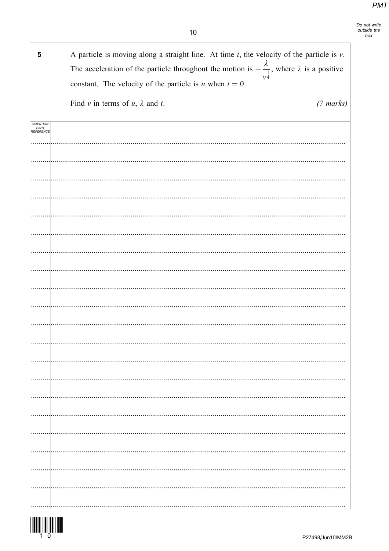| Do not write |  |
|--------------|--|
| outside the  |  |
| box          |  |

| 5                             | A particle is moving along a straight line. At time $t$ , the velocity of the particle is $v$ .<br>The acceleration of the particle throughout the motion is $-\frac{\lambda}{1}$ , where $\lambda$ is a positive<br>$v^{\overline{4}}$<br>constant. The velocity of the particle is u when $t = 0$ . |
|-------------------------------|-------------------------------------------------------------------------------------------------------------------------------------------------------------------------------------------------------------------------------------------------------------------------------------------------------|
|                               | Find v in terms of $u$ , $\lambda$ and $t$ .<br>$(7 \text{ marks})$                                                                                                                                                                                                                                   |
| QUESTION<br>PART<br>REFERENCE |                                                                                                                                                                                                                                                                                                       |
|                               |                                                                                                                                                                                                                                                                                                       |
|                               |                                                                                                                                                                                                                                                                                                       |
|                               |                                                                                                                                                                                                                                                                                                       |
|                               |                                                                                                                                                                                                                                                                                                       |
|                               |                                                                                                                                                                                                                                                                                                       |
|                               |                                                                                                                                                                                                                                                                                                       |
|                               |                                                                                                                                                                                                                                                                                                       |
|                               |                                                                                                                                                                                                                                                                                                       |
|                               |                                                                                                                                                                                                                                                                                                       |
|                               |                                                                                                                                                                                                                                                                                                       |
|                               |                                                                                                                                                                                                                                                                                                       |
|                               |                                                                                                                                                                                                                                                                                                       |
|                               |                                                                                                                                                                                                                                                                                                       |
|                               |                                                                                                                                                                                                                                                                                                       |
|                               |                                                                                                                                                                                                                                                                                                       |
|                               |                                                                                                                                                                                                                                                                                                       |
|                               |                                                                                                                                                                                                                                                                                                       |
|                               |                                                                                                                                                                                                                                                                                                       |
|                               |                                                                                                                                                                                                                                                                                                       |
|                               |                                                                                                                                                                                                                                                                                                       |
|                               |                                                                                                                                                                                                                                                                                                       |

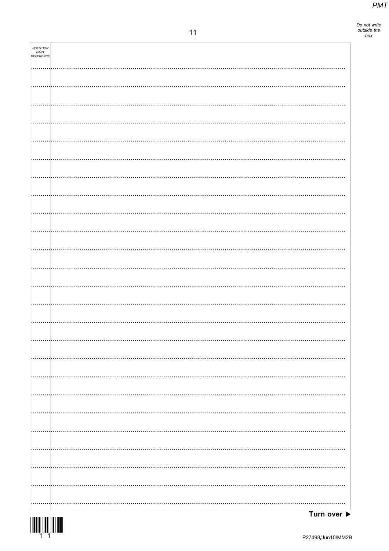Do not write<br>outside the<br>box

| <b>QUESTION<br/>PART<br/>REFERENCE</b> |  |
|----------------------------------------|--|
|                                        |  |
|                                        |  |
|                                        |  |
|                                        |  |
|                                        |  |
|                                        |  |
|                                        |  |
|                                        |  |
|                                        |  |
|                                        |  |
|                                        |  |
|                                        |  |
|                                        |  |
|                                        |  |
|                                        |  |
|                                        |  |
|                                        |  |
|                                        |  |
|                                        |  |
|                                        |  |
|                                        |  |
|                                        |  |
|                                        |  |
|                                        |  |
|                                        |  |

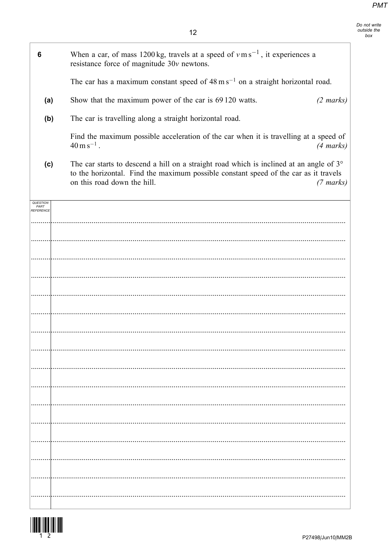Do not write<br>outside the<br>box

| 6                                    | When a car, of mass 1200 kg, travels at a speed of $v \text{ m s}^{-1}$ , it experiences a<br>resistance force of magnitude 30v newtons.                                                                              |                     |
|--------------------------------------|-----------------------------------------------------------------------------------------------------------------------------------------------------------------------------------------------------------------------|---------------------|
|                                      | The car has a maximum constant speed of $48 \text{ m s}^{-1}$ on a straight horizontal road.                                                                                                                          |                     |
| (a)                                  | Show that the maximum power of the car is 69 120 watts.                                                                                                                                                               | $(2 \text{ marks})$ |
| (b)                                  | The car is travelling along a straight horizontal road.                                                                                                                                                               |                     |
|                                      | Find the maximum possible acceleration of the car when it is travelling at a speed of<br>$40 \,\mathrm{m\,s}^{-1}$ .                                                                                                  | $(4 \text{ marks})$ |
| (c)                                  | The car starts to descend a hill on a straight road which is inclined at an angle of $3^\circ$<br>to the horizontal. Find the maximum possible constant speed of the car as it travels<br>on this road down the hill. | $(7 \text{ marks})$ |
| <b>QUESTION</b><br>PART<br>REFERENCE |                                                                                                                                                                                                                       |                     |
|                                      |                                                                                                                                                                                                                       |                     |
|                                      |                                                                                                                                                                                                                       |                     |
|                                      |                                                                                                                                                                                                                       |                     |
|                                      |                                                                                                                                                                                                                       |                     |
|                                      |                                                                                                                                                                                                                       |                     |
|                                      |                                                                                                                                                                                                                       |                     |
|                                      |                                                                                                                                                                                                                       |                     |
|                                      |                                                                                                                                                                                                                       |                     |
|                                      |                                                                                                                                                                                                                       |                     |
|                                      |                                                                                                                                                                                                                       |                     |
|                                      |                                                                                                                                                                                                                       |                     |
|                                      |                                                                                                                                                                                                                       |                     |
|                                      |                                                                                                                                                                                                                       |                     |
|                                      |                                                                                                                                                                                                                       |                     |
|                                      |                                                                                                                                                                                                                       |                     |
|                                      |                                                                                                                                                                                                                       |                     |

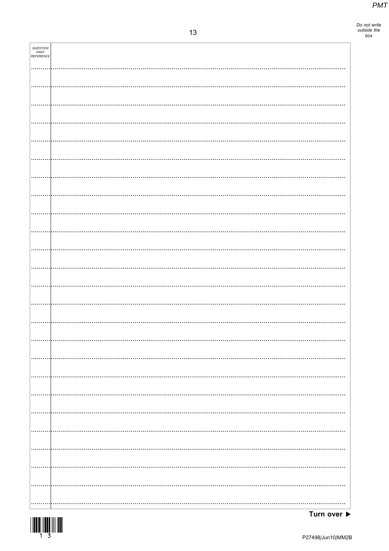Do not write<br>outside the<br>box

| <b>QUESTION<br/>PART<br/>REFERENCE</b> |  |
|----------------------------------------|--|
|                                        |  |
|                                        |  |
|                                        |  |
|                                        |  |
|                                        |  |
|                                        |  |
|                                        |  |
|                                        |  |
|                                        |  |
|                                        |  |
|                                        |  |
|                                        |  |
|                                        |  |
|                                        |  |
|                                        |  |
|                                        |  |
|                                        |  |
|                                        |  |
|                                        |  |
|                                        |  |
|                                        |  |
|                                        |  |
|                                        |  |
|                                        |  |
|                                        |  |
|                                        |  |

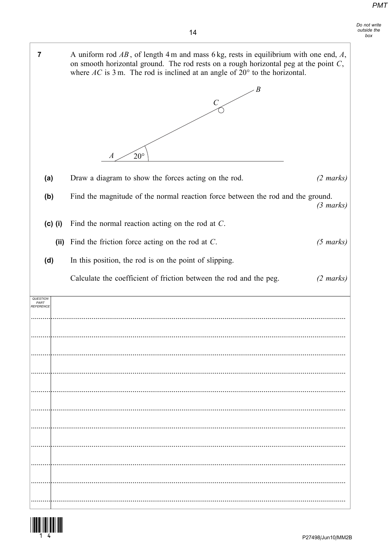Do not write

outside the  $h(x)$ 

where  $AC$  is 3 m. The rod is inclined at an angle of  $20^{\circ}$  to the horizontal.

A uniform rod  $AB$ , of length 4 m and mass 6 kg, rests in equilibrium with one end, A, on smooth horizontal ground. The rod rests on a rough horizontal peg at the point  $C$ ,

 $\angle B$  $\overline{C}$  $20^\circ$  $\overline{A}$ Draw a diagram to show the forces acting on the rod.  $(2 \text{ marks})$ Find the magnitude of the normal reaction force between the rod and the ground.  $(3 \text{ marks})$ (c) (i) Find the normal reaction acting on the rod at  $C$ . (ii) Find the friction force acting on the rod at  $C$ .  $(5 \text{ marks})$ In this position, the rod is on the point of slipping. Calculate the coefficient of friction between the rod and the peg.  $(2 \text{ marks})$ 



 $\overline{7}$ 

 $(a)$ 

 $(b)$ 

 $(d)$ 

QUESTION PART<br>PART<br>REFERENCE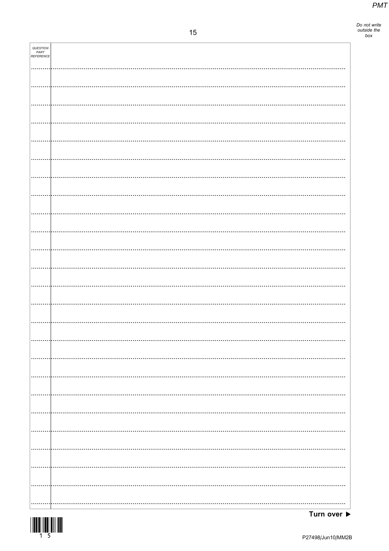Do not write<br>outside the<br>box

| <b>QUESTION<br/>PART<br/>REFERENCE</b> |   |
|----------------------------------------|---|
|                                        |   |
|                                        |   |
|                                        |   |
|                                        |   |
|                                        |   |
|                                        |   |
|                                        |   |
|                                        |   |
|                                        |   |
|                                        |   |
|                                        |   |
|                                        |   |
|                                        |   |
|                                        |   |
|                                        |   |
|                                        |   |
|                                        |   |
|                                        | . |
|                                        |   |
|                                        |   |
|                                        |   |
|                                        |   |
|                                        |   |

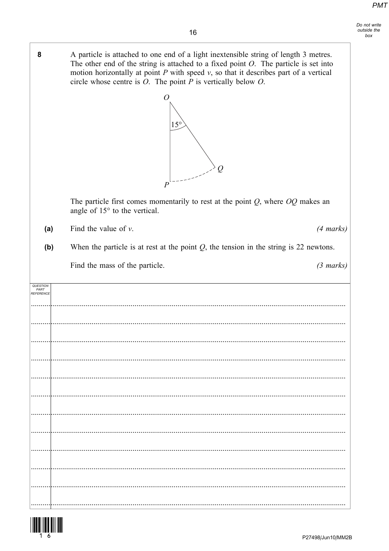circle whose centre is  $O$ . The point  $P$  is vertically below  $O$ .

 $\overline{O}$ 

8

A particle is attached to one end of a light inextensible string of length 3 metres.

The other end of the string is attached to a fixed point  $O$ . The particle is set into motion horizontally at point  $P$  with speed  $v$ , so that it describes part of a vertical

|                                                  | $15^{\circ}$<br>$\varrho$<br>$\boldsymbol{P}$                                                                        |  |
|--------------------------------------------------|----------------------------------------------------------------------------------------------------------------------|--|
|                                                  | The particle first comes momentarily to rest at the point $Q$ , where $OQ$ makes an<br>angle of 15° to the vertical. |  |
| (a)                                              | Find the value of $v$ .<br>$(4 \text{ marks})$                                                                       |  |
| (b)                                              | When the particle is at rest at the point $Q$ , the tension in the string is 22 newtons.                             |  |
|                                                  | Find the mass of the particle.<br>$(3 \text{ marks})$                                                                |  |
| <i><b>QUESTION</b></i><br><i><b>EFERENCE</b></i> |                                                                                                                      |  |
| P27498/Jun10/MM2B                                |                                                                                                                      |  |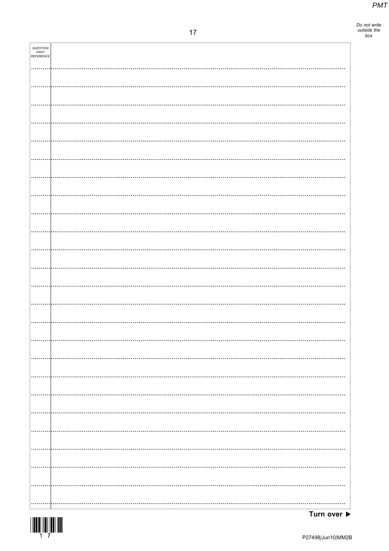Do not write<br>outside the<br>box

| QUESTION<br>PART<br>REFERENCE |  |
|-------------------------------|--|
|                               |  |
|                               |  |
|                               |  |
|                               |  |
|                               |  |
|                               |  |
|                               |  |
|                               |  |
|                               |  |
|                               |  |
|                               |  |
|                               |  |
|                               |  |
|                               |  |
|                               |  |
|                               |  |
|                               |  |
|                               |  |
|                               |  |
|                               |  |
|                               |  |
|                               |  |
|                               |  |
|                               |  |
|                               |  |
|                               |  |
|                               |  |



Turn over  $\blacktriangleright$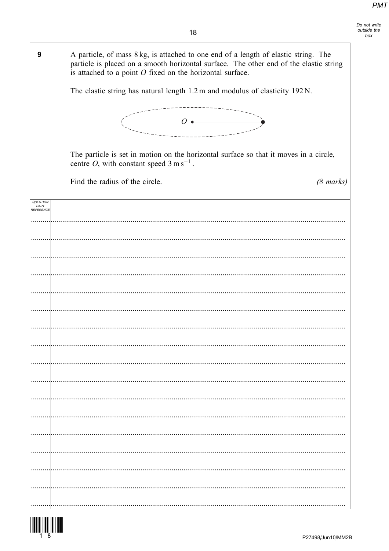| 9                             | A particle, of mass 8 kg, is attached to one end of a length of elastic string. The<br>particle is placed on a smooth horizontal surface. The other end of the elastic string<br>is attached to a point $O$ fixed on the horizontal surface. |
|-------------------------------|----------------------------------------------------------------------------------------------------------------------------------------------------------------------------------------------------------------------------------------------|
|                               | The elastic string has natural length 1.2 m and modulus of elasticity 192 N.                                                                                                                                                                 |
|                               | $\overline{O}$ $\leftarrow$                                                                                                                                                                                                                  |
|                               | The particle is set in motion on the horizontal surface so that it moves in a circle,<br>centre <i>O</i> , with constant speed $3 \text{ m s}^{-1}$ .                                                                                        |
|                               | Find the radius of the circle.<br>$(8 \text{ marks})$                                                                                                                                                                                        |
| QUESTION<br>PART<br>REFERENCE |                                                                                                                                                                                                                                              |
|                               |                                                                                                                                                                                                                                              |
|                               |                                                                                                                                                                                                                                              |
|                               |                                                                                                                                                                                                                                              |
|                               |                                                                                                                                                                                                                                              |
|                               |                                                                                                                                                                                                                                              |
|                               |                                                                                                                                                                                                                                              |
|                               |                                                                                                                                                                                                                                              |
|                               |                                                                                                                                                                                                                                              |
|                               |                                                                                                                                                                                                                                              |
|                               |                                                                                                                                                                                                                                              |
|                               |                                                                                                                                                                                                                                              |
|                               |                                                                                                                                                                                                                                              |
|                               |                                                                                                                                                                                                                                              |
|                               |                                                                                                                                                                                                                                              |

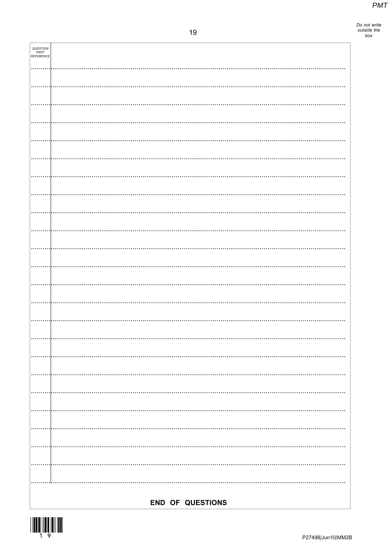Do not write<br>outside the<br>box

| <b>QUESTION<br/>PART<br/>REFERENCE</b> |                  |
|----------------------------------------|------------------|
|                                        |                  |
|                                        |                  |
|                                        |                  |
|                                        |                  |
|                                        |                  |
|                                        |                  |
|                                        |                  |
|                                        |                  |
|                                        |                  |
|                                        |                  |
|                                        |                  |
|                                        |                  |
|                                        |                  |
|                                        |                  |
|                                        |                  |
|                                        |                  |
|                                        |                  |
|                                        |                  |
|                                        |                  |
|                                        |                  |
|                                        |                  |
|                                        |                  |
|                                        |                  |
|                                        |                  |
|                                        | END OF QUESTIONS |